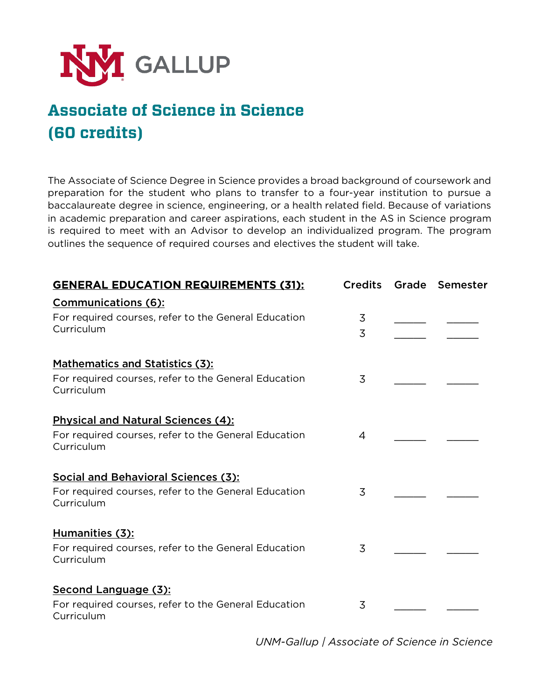

## **Associate of Science in Science (60 credits)**

The Associate of Science Degree in Science provides a broad background of coursework and preparation for the student who plans to transfer to a four-year institution to pursue a baccalaureate degree in science, engineering, or a health related field. Because of variations in academic preparation and career aspirations, each student in the AS in Science program is required to meet with an Advisor to develop an individualized program. The program outlines the sequence of required courses and electives the student will take.

| <b>GENERAL EDUCATION REQUIREMENTS (31):</b>                                                      | <b>Credits</b> | Grade Semester |
|--------------------------------------------------------------------------------------------------|----------------|----------------|
| <b>Communications (6):</b><br>For required courses, refer to the General Education<br>Curriculum | 3<br>3         |                |
| Mathematics and Statistics (3):                                                                  |                |                |
| For required courses, refer to the General Education<br>Curriculum                               | 3              |                |
| <b>Physical and Natural Sciences (4):</b>                                                        |                |                |
| For required courses, refer to the General Education<br>Curriculum                               | 4              |                |
| Social and Behavioral Sciences (3):                                                              |                |                |
| For required courses, refer to the General Education<br>Curriculum                               | 3              |                |
| Humanities (3):                                                                                  |                |                |
| For required courses, refer to the General Education<br>Curriculum                               | 3              |                |
| Second Language (3):                                                                             |                |                |
| For required courses, refer to the General Education<br>Curriculum                               | 3              |                |